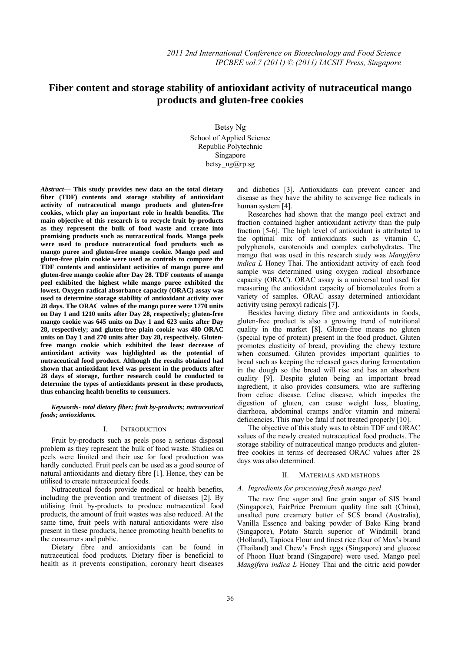# **Fiber content and storage stability of antioxidant activity of nutraceutical mango**   **products and gluten-free cookies**

Betsy Ng School of Applied Science Republic Polytechnic Singapore betsy\_ng@rp.sg

*Abstract***— This study provides new data on the total dietary fiber (TDF) contents and storage stability of antioxidant activity of nutraceutical mango products and gluten-free cookies, which play an important role in health benefits. The main objective of this research is to recycle fruit by-products as they represent the bulk of food waste and create into promising products such as nutraceutical foods. Mango peels were used to produce nutraceutical food products such as mango puree and gluten-free mango cookie. Mango peel and gluten-free plain cookie were used as controls to compare the TDF contents and antioxidant activities of mango puree and gluten-free mango cookie after Day 28. TDF contents of mango peel exhibited the highest while mango puree exhibited the lowest. Oxygen radical absorbance capacity (ORAC) assay was used to determine storage stability of antioxidant activity over 28 days. The ORAC values of the mango puree were 1770 units on Day 1 and 1210 units after Day 28, respectively; gluten-free mango cookie was 645 units on Day 1 and 623 units after Day 28, respectively; and gluten-free plain cookie was 480 ORAC units on Day 1 and 270 units after Day 28, respectively. Glutenfree mango cookie which exhibited the least decrease of antioxidant activity was highlighted as the potential of nutraceutical food product. Although the results obtained had shown that antioxidant level was present in the products after 28 days of storage, further research could be conducted to determine the types of antioxidants present in these products, thus enhancing health benefits to consumers.** 

*Keywords- total dietary fiber; fruit by-products; nutraceutical foods; antioxidants.* 

## I. INTRODUCTION

Fruit by-products such as peels pose a serious disposal problem as they represent the bulk of food waste. Studies on peels were limited and their use for food production was hardly conducted. Fruit peels can be used as a good source of natural antioxidants and dietary fibre [1]. Hence, they can be utilised to create nutraceutical foods.

Nutraceutical foods provide medical or health benefits, including the prevention and treatment of diseases [2]. By utilising fruit by-products to produce nutraceutical food products, the amount of fruit wastes was also reduced. At the same time, fruit peels with natural antioxidants were also present in these products, hence promoting health benefits to the consumers and public.

Dietary fibre and antioxidants can be found in nutraceutical food products. Dietary fiber is beneficial to health as it prevents constipation, coronary heart diseases and diabetics [3]. Antioxidants can prevent cancer and disease as they have the ability to scavenge free radicals in human system [4].

Researches had shown that the mango peel extract and fraction contained higher antioxidant activity than the pulp fraction [5-6]. The high level of antioxidant is attributed to the optimal mix of antioxidants such as vitamin C, polyphenols, carotenoids and complex carbohydrates. The mango that was used in this research study was *Mangifera indica L* Honey Thai. The antioxidant activity of each food sample was determined using oxygen radical absorbance capacity (ORAC). ORAC assay is a universal tool used for measuring the antioxidant capacity of biomolecules from a variety of samples. ORAC assay determined antioxidant activity using peroxyl radicals [7].

Besides having dietary fibre and antioxidants in foods, gluten-free product is also a growing trend of nutritional quality in the market [8]. Gluten-free means no gluten (special type of protein) present in the food product. Gluten promotes elasticity of bread, providing the chewy texture when consumed. Gluten provides important qualities to bread such as keeping the released gases during fermentation in the dough so the bread will rise and has an absorbent quality [9]. Despite gluten being an important bread ingredient, it also provides consumers, who are suffering from celiac disease. Celiac disease, which impedes the digestion of gluten, can cause weight loss, bloating, diarrhoea, abdominal cramps and/or vitamin and mineral deficiencies. This may be fatal if not treated properly [10].

The objective of this study was to obtain TDF and ORAC values of the newly created nutraceutical food products. The storage stability of nutraceutical mango products and glutenfree cookies in terms of decreased ORAC values after 28 days was also determined.

## II. MATERIALS AND METHODS

## *A. Ingredients for processing fresh mango peel*

The raw fine sugar and fine grain sugar of SIS brand (Singapore), FairPrice Premium quality fine salt (China), unsalted pure creamery butter of SCS brand (Australia), Vanilla Essence and baking powder of Bake King brand (Singapore), Potato Starch superior of Windmill brand (Holland), Tapioca Flour and finest rice flour of Max's brand (Thailand) and Chew's Fresh eggs (Singapore) and glucose of Phoon Huat brand (Singapore) were used. Mango peel *Mangifera indica L* Honey Thai and the citric acid powder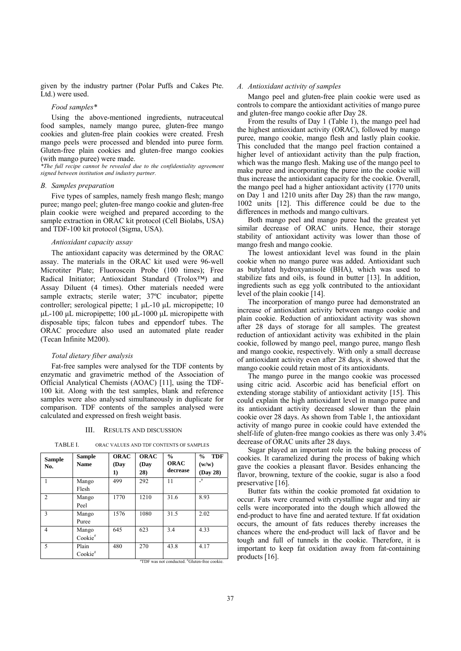given by the industry partner (Polar Puffs and Cakes Pte. Ltd.) were used.

### *Food samples\**

Using the above-mentioned ingredients, nutraceutcal food samples, namely mango puree, gluten-free mango cookies and gluten-free plain cookies were created. Fresh mango peels were processed and blended into puree form. Gluten-free plain cookies and gluten-free mango cookies (with mango puree) were made.

*\*The full recipe cannot be revealed due to the confidentiality agreement signed between institution and industry partner.* 

#### *B. Samples preparation*

Five types of samples, namely fresh mango flesh; mango puree; mango peel; gluten-free mango cookie and gluten-free plain cookie were weighed and prepared according to the sample extraction in ORAC kit protocol (Cell Biolabs, USA) and TDF-100 kit protocol (Sigma, USA).

#### *Antioxidant capacity assay*

The antioxidant capacity was determined by the ORAC assay. The materials in the ORAC kit used were 96-well Microtiter Plate; Fluoroscein Probe (100 times); Free Radical Initiator; Antioxidant Standard (Trolox™) and Assay Diluent (4 times). Other materials needed were sample extracts; sterile water; 37ºC incubator; pipette controller; serological pipette; 1 μL-10 μL micropipette; 10 μL-100 μL micropipette; 100 μL-1000 μL micropipette with disposable tips; falcon tubes and eppendorf tubes. The ORAC procedure also used an automated plate reader (Tecan Infinite M200).

#### *Total dietary fiber analysis*

Fat-free samples were analysed for the TDF contents by enzymatic and gravimetric method of the Association of Official Analytical Chemists (AOAC) [11], using the TDF-100 kit. Along with the test samples, blank and reference samples were also analysed simultaneously in duplicate for comparison. TDF contents of the samples analysed were calculated and expressed on fresh weight basis.

#### III. RESULTS AND DISCUSSION

| Sample<br>No.                                            | <b>Sample</b><br><b>Name</b> | <b>ORAC</b><br>(Day<br>1) | <b>ORAC</b><br>(Day<br>28) | $\frac{6}{6}$<br><b>ORAC</b><br>decrease | <b>TDF</b><br>$\frac{0}{0}$<br>(w/w)<br>(Day 28) |
|----------------------------------------------------------|------------------------------|---------------------------|----------------------------|------------------------------------------|--------------------------------------------------|
|                                                          | Mango                        | 499                       | 292                        | 11                                       | $\mathbf{a}$                                     |
|                                                          | Flesh                        |                           |                            |                                          |                                                  |
| $\overline{c}$                                           | Mango                        | 1770                      | 1210                       | 31.6                                     | 8.93                                             |
|                                                          | Peel                         |                           |                            |                                          |                                                  |
| 3                                                        | Mango                        | 1576                      | 1080                       | 31.5                                     | 2.02                                             |
|                                                          | Puree                        |                           |                            |                                          |                                                  |
| 4                                                        | Mango                        | 645                       | 623                        | 3.4                                      | 4.33                                             |
|                                                          | Cookie#                      |                           |                            |                                          |                                                  |
| 5                                                        | Plain                        | 480                       | 270                        | 43.8                                     | 4.17                                             |
|                                                          | Cookie#                      |                           |                            |                                          |                                                  |
| <sup>a</sup> TDF was not conducted. "Gluten-free cookie. |                              |                           |                            |                                          |                                                  |

TABLE I. ORAC VALUES AND TDF CONTENTS OF SAMPLES

#### *A. Antioxidant activity of samples*

Mango peel and gluten-free plain cookie were used as controls to compare the antioxidant activities of mango puree and gluten-free mango cookie after Day 28.

From the results of Day 1 (Table 1), the mango peel had the highest antioxidant activity (ORAC), followed by mango puree, mango cookie, mango flesh and lastly plain cookie. This concluded that the mango peel fraction contained a higher level of antioxidant activity than the pulp fraction. which was the mango flesh. Making use of the mango peel to make puree and incorporating the puree into the cookie will thus increase the antioxidant capacity for the cookie. Overall, the mango peel had a higher antioxidant activity (1770 units on Day 1 and 1210 units after Day 28) than the raw mango, 1002 units [12]. This difference could be due to the differences in methods and mango cultivars.

Both mango peel and mango puree had the greatest yet similar decrease of ORAC units. Hence, their storage stability of antioxidant activity was lower than those of mango fresh and mango cookie.

The lowest antioxidant level was found in the plain cookie when no mango puree was added. Antioxidant such as butylated hydroxyanisole (BHA), which was used to stabilize fats and oils, is found in butter [13]. In addition, ingredients such as egg yolk contributed to the antioxidant level of the plain cookie [14].

The incorporation of mango puree had demonstrated an increase of antioxidant activity between mango cookie and plain cookie. Reduction of antioxidant activity was shown after 28 days of storage for all samples. The greatest reduction of antioxidant activity was exhibited in the plain cookie, followed by mango peel, mango puree, mango flesh and mango cookie, respectively. With only a small decrease of antioxidant activity even after 28 days, it showed that the mango cookie could retain most of its antioxidants.

The mango puree in the mango cookie was processed using citric acid. Ascorbic acid has beneficial effort on extending storage stability of antioxidant activity [15]. This could explain the high antioxidant level in mango puree and its antioxidant activity decreased slower than the plain cookie over 28 days. As shown from Table 1, the antioxidant activity of mango puree in cookie could have extended the shelf-life of gluten-free mango cookies as there was only 3.4% decrease of ORAC units after 28 days.

Sugar played an important role in the baking process of cookies. It caramelized during the process of baking which gave the cookies a pleasant flavor. Besides enhancing the flavor, browning, texture of the cookie, sugar is also a food preservative [16].

Butter fats within the cookie promoted fat oxidation to occur. Fats were creamed with crystalline sugar and tiny air cells were incorporated into the dough which allowed the end-product to have fine and aerated texture. If fat oxidation occurs, the amount of fats reduces thereby increases the chances where the end-product will lack of flavor and be tough and full of tunnels in the cookie. Therefore, it is important to keep fat oxidation away from fat-containing products [16].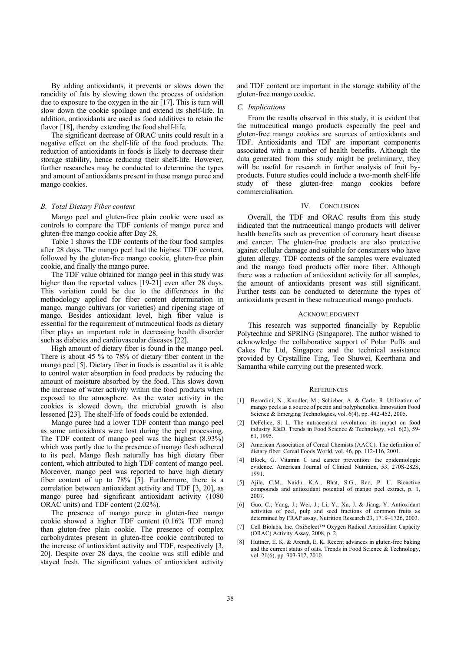By adding antioxidants, it prevents or slows down the rancidity of fats by slowing down the process of oxidation due to exposure to the oxygen in the air [17]. This is turn will slow down the cookie spoilage and extend its shelf-life. In addition, antioxidants are used as food additives to retain the flavor [18], thereby extending the food shelf-life.

The significant decrease of ORAC units could result in a negative effect on the shelf-life of the food products. The reduction of antioxidants in foods is likely to decrease their storage stability, hence reducing their shelf-life. However, further researches may be conducted to determine the types and amount of antioxidants present in these mango puree and mango cookies.

#### *B. Total Dietary Fiber content*

Mango peel and gluten-free plain cookie were used as controls to compare the TDF contents of mango puree and gluten-free mango cookie after Day 28.

Table 1 shows the TDF contents of the four food samples after 28 days. The mango peel had the highest TDF content, followed by the gluten-free mango cookie, gluten-free plain cookie, and finally the mango puree.

The TDF value obtained for mango peel in this study was higher than the reported values [19-21] even after 28 days. This variation could be due to the differences in the methodology applied for fiber content determination in mango, mango cultivars (or varieties) and ripening stage of mango. Besides antioxidant level, high fiber value is essential for the requirement of nutraceutical foods as dietary fiber plays an important role in decreasing health disorder such as diabetes and cardiovascular diseases [22].

High amount of dietary fiber is found in the mango peel. There is about 45 % to 78% of dietary fiber content in the mango peel [5]. Dietary fiber in foods is essential as it is able to control water absorption in food products by reducing the amount of moisture absorbed by the food. This slows down the increase of water activity within the food products when exposed to the atmosphere. As the water activity in the cookies is slowed down, the microbial growth is also lessened [23]. The shelf-life of foods could be extended.

Mango puree had a lower TDF content than mango peel as some antioxidants were lost during the peel processing. The TDF content of mango peel was the highest (8.93%) which was partly due to the presence of mango flesh adhered to its peel. Mango flesh naturally has high dietary fiber content, which attributed to high TDF content of mango peel. Moreover, mango peel was reported to have high dietary fiber content of up to 78% [5]. Furthermore, there is a correlation between antioxidant activity and TDF [3, 20], as mango puree had significant antioxidant activity (1080 ORAC units) and TDF content (2.02%).

The presence of mango puree in gluten-free mango cookie showed a higher TDF content (0.16% TDF more) than gluten-free plain cookie. The presence of complex carbohydrates present in gluten-free cookie contributed to the increase of antioxidant activity and TDF, respectively [3, 20]. Despite over 28 days, the cookie was still edible and stayed fresh. The significant values of antioxidant activity

and TDF content are important in the storage stability of the gluten-free mango cookie.

#### *C. Implications*

From the results observed in this study, it is evident that the nutraceutical mango products especially the peel and gluten-free mango cookies are sources of antioxidants and TDF. Antioxidants and TDF are important components associated with a number of health benefits. Although the data generated from this study might be preliminary, they will be useful for research in further analysis of fruit byproducts. Future studies could include a two-month shelf-life study of these gluten-free mango cookies before commercialisation.

#### IV. CONCLUSION

Overall, the TDF and ORAC results from this study indicated that the nutraceutical mango products will deliver health benefits such as prevention of coronary heart disease and cancer. The gluten-free products are also protective against cellular damage and suitable for consumers who have gluten allergy. TDF contents of the samples were evaluated and the mango food products offer more fiber. Although there was a reduction of antioxidant activity for all samples, the amount of antioxidants present was still significant. Further tests can be conducted to determine the types of antioxidants present in these nutraceutical mango products.

#### ACKNOWLEDGMENT

This research was supported financially by Republic Polytechnic and SPRING (Singapore). The author wished to acknowledge the collaborative support of Polar Puffs and Cakes Pte Ltd, Singapore and the technical assistance provided by Crystalline Ting, Teo Shuwei, Keerthana and Samantha while carrying out the presented work.

#### **REFERENCES**

- [1] Berardini, N.; Knodler, M.; Schieber, A. & Carle, R. Utilization of mango peels as a source of pectin and polyphenolics. Innovation Food Science & Emerging Technologies, vol. 6(4), pp. 442-452, 2005.
- [2] DeFelice, S. L. The nutraceutical revolution: its impact on food industry R&D. Trends in Food Science & Technology, vol. 6(2), 59- 61, 1995.
- [3] American Association of Cereal Chemists (AACC). The definition of dietary fiber. Cereal Foods World, vol. 46, pp. 112-116, 2001.
- [4] Block, G. Vitamin C and cancer prevention: the epidemiologic evidence. American Journal of Clinical Nutrition, 53, 270S-282S, 1991.
- [5] Ajila, C.M., Naidu, K.A., Bhat, S.G., Rao, P. U. Bioactive compounds and antioxidant potential of mango peel extract, p. 1, 2007.
- [6] Guo, C.; Yang, J.; Wei, J.; Li, Y.; Xu, J. & Jiang, Y. Antioxidant activities of peel, pulp and seed fractions of common fruits as determined by FRAP assay, Nutrition Research 23, 1719–1726, 2003.
- [7] Cell Biolabs, Inc. OxiSelect™ Oxygen Radical Antioxidant Capacity (ORAC) Activity Assay, 2008, p. 2.
- [8] Huttner, E. K. & Arendt, E. K. Recent advances in gluten-free baking and the current status of oats. Trends in Food Science & Technology, vol. 21(6), pp. 303-312, 2010.